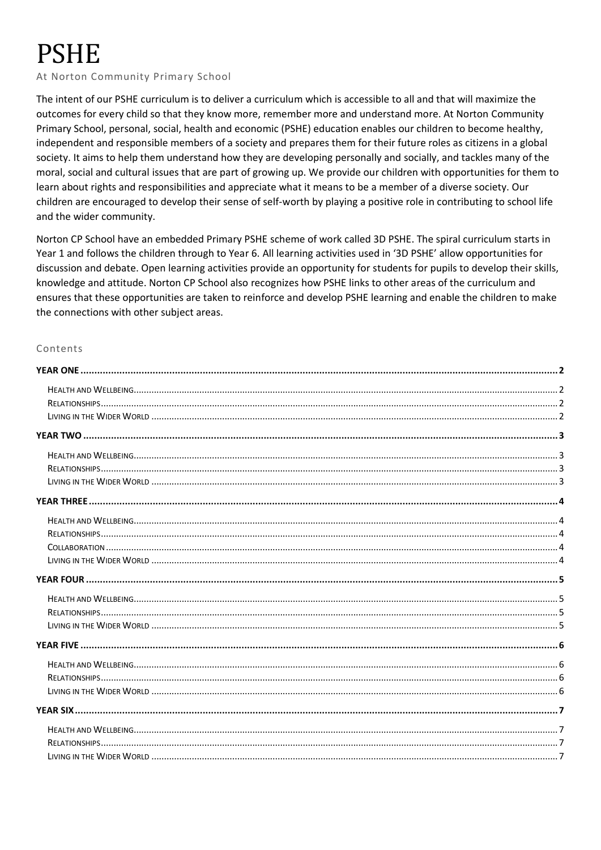# **PSHE**

At Norton Community Primary School

The intent of our PSHE curriculum is to deliver a curriculum which is accessible to all and that will maximize the outcomes for every child so that they know more, remember more and understand more. At Norton Community Primary School, personal, social, health and economic (PSHE) education enables our children to become healthy, independent and responsible members of a society and prepares them for their future roles as citizens in a global society. It aims to help them understand how they are developing personally and socially, and tackles many of the moral, social and cultural issues that are part of growing up. We provide our children with opportunities for them to learn about rights and responsibilities and appreciate what it means to be a member of a diverse society. Our children are encouraged to develop their sense of self-worth by playing a positive role in contributing to school life and the wider community.

Norton CP School have an embedded Primary PSHE scheme of work called 3D PSHE. The spiral curriculum starts in Year 1 and follows the children through to Year 6. All learning activities used in '3D PSHE' allow opportunities for discussion and debate. Open learning activities provide an opportunity for students for pupils to develop their skills, knowledge and attitude. Norton CP School also recognizes how PSHE links to other areas of the curriculum and ensures that these opportunities are taken to reinforce and develop PSHE learning and enable the children to make the connections with other subject areas.

#### Contents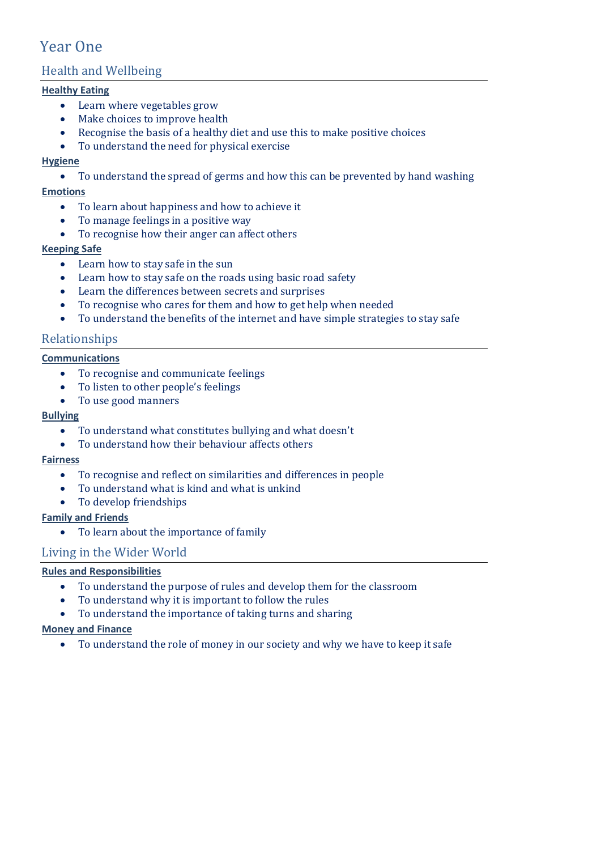# <span id="page-1-0"></span>Year One

# <span id="page-1-1"></span>Health and Wellbeing

#### **Healthy Eating**

- Learn where vegetables grow
- Make choices to improve health
- Recognise the basis of a healthy diet and use this to make positive choices
- To understand the need for physical exercise

#### **Hygiene**

• To understand the spread of germs and how this can be prevented by hand washing

#### **Emotions**

- To learn about happiness and how to achieve it
- To manage feelings in a positive way
- To recognise how their anger can affect others

#### **Keeping Safe**

- Learn how to stay safe in the sun
- Learn how to stay safe on the roads using basic road safety
- Learn the differences between secrets and surprises
- To recognise who cares for them and how to get help when needed
- To understand the benefits of the internet and have simple strategies to stay safe

#### <span id="page-1-2"></span>Relationships

#### **Communications**

- To recognise and communicate feelings
- To listen to other people's feelings
- To use good manners

#### **Bullying**

- To understand what constitutes bullying and what doesn't
- To understand how their behaviour affects others

#### **Fairness**

- To recognise and reflect on similarities and differences in people
- To understand what is kind and what is unkind
- To develop friendships

#### **Family and Friends**

• To learn about the importance of family

#### <span id="page-1-3"></span>Living in the Wider World

#### **Rules and Responsibilities**

- To understand the purpose of rules and develop them for the classroom
- To understand why it is important to follow the rules
- To understand the importance of taking turns and sharing

#### **Money and Finance**

• To understand the role of money in our society and why we have to keep it safe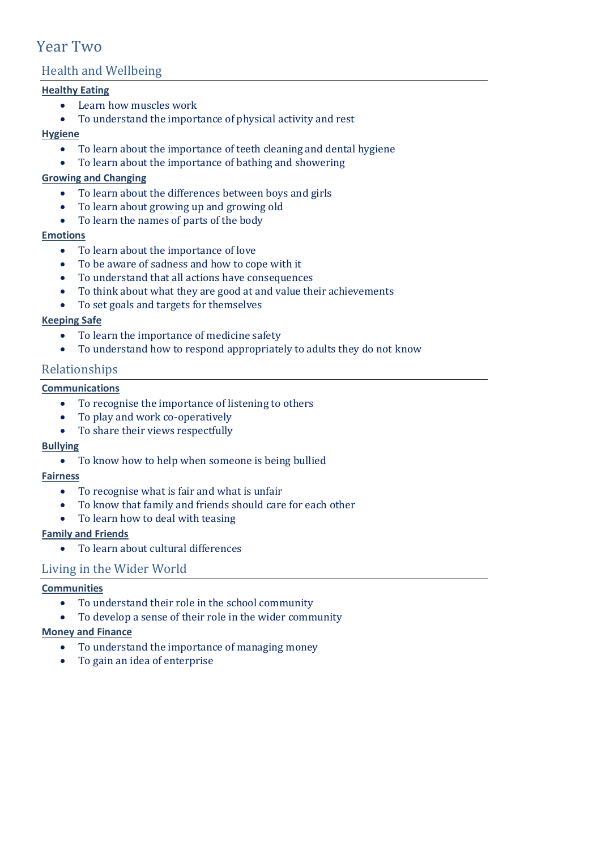# <span id="page-2-0"></span>Year Two

# <span id="page-2-1"></span>Health and Wellbeing

#### **Healthy Eating**

- Learn how muscles work
- To understand the importance of physical activity and rest

#### **Hygiene**

- To learn about the importance of teeth cleaning and dental hygiene
- To learn about the importance of bathing and showering

#### **Growing and Changing**

- To learn about the differences between boys and girls
- To learn about growing up and growing old
- To learn the names of parts of the body

#### **Emotions**

- To learn about the importance of love
- To be aware of sadness and how to cope with it
- To understand that all actions have consequences
- To think about what they are good at and value their achievements
- To set goals and targets for themselves

#### **Keeping Safe**

- To learn the importance of medicine safety
- To understand how to respond appropriately to adults they do not know

## <span id="page-2-2"></span>Relationships

#### **Communications**

- To recognise the importance of listening to others
- To play and work co-operatively
- To share their views respectfully

#### **Bullying**

• To know how to help when someone is being bullied

#### **Fairness**

- To recognise what is fair and what is unfair
- To know that family and friends should care for each other
- To learn how to deal with teasing

#### **Family and Friends**

• To learn about cultural differences

# <span id="page-2-3"></span>Living in the Wider World

#### **Communities**

- To understand their role in the school community
- To develop a sense of their role in the wider community

#### **Money and Finance**

- To understand the importance of managing money
- To gain an idea of enterprise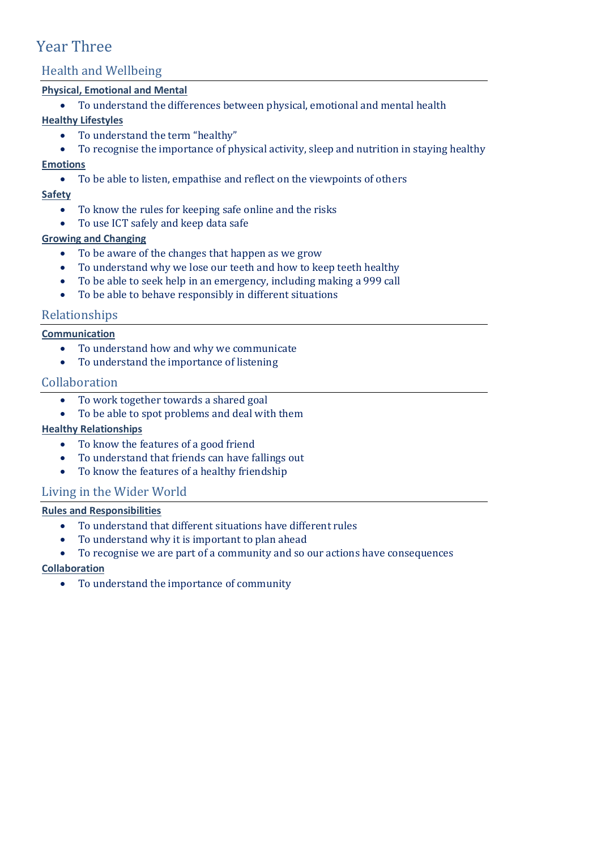# <span id="page-3-0"></span>Year Three

# <span id="page-3-1"></span>Health and Wellbeing

#### **Physical, Emotional and Mental**

• To understand the differences between physical, emotional and mental health

## **Healthy Lifestyles**

- To understand the term "healthy"
- To recognise the importance of physical activity, sleep and nutrition in staying healthy

#### **Emotions**

• To be able to listen, empathise and reflect on the viewpoints of others

#### **Safety**

- To know the rules for keeping safe online and the risks
- To use ICT safely and keep data safe

#### **Growing and Changing**

- To be aware of the changes that happen as we grow
- To understand why we lose our teeth and how to keep teeth healthy
- To be able to seek help in an emergency, including making a 999 call
- To be able to behave responsibly in different situations

# <span id="page-3-2"></span>Relationships

#### **Communication**

- To understand how and why we communicate
- To understand the importance of listening

## <span id="page-3-3"></span>Collaboration

- To work together towards a shared goal
- To be able to spot problems and deal with them

#### **Healthy Relationships**

- To know the features of a good friend
- To understand that friends can have fallings out
- To know the features of a healthy friendship

# <span id="page-3-4"></span>Living in the Wider World

#### **Rules and Responsibilities**

- To understand that different situations have different rules
- To understand why it is important to plan ahead
- To recognise we are part of a community and so our actions have consequences

#### **Collaboration**

• To understand the importance of community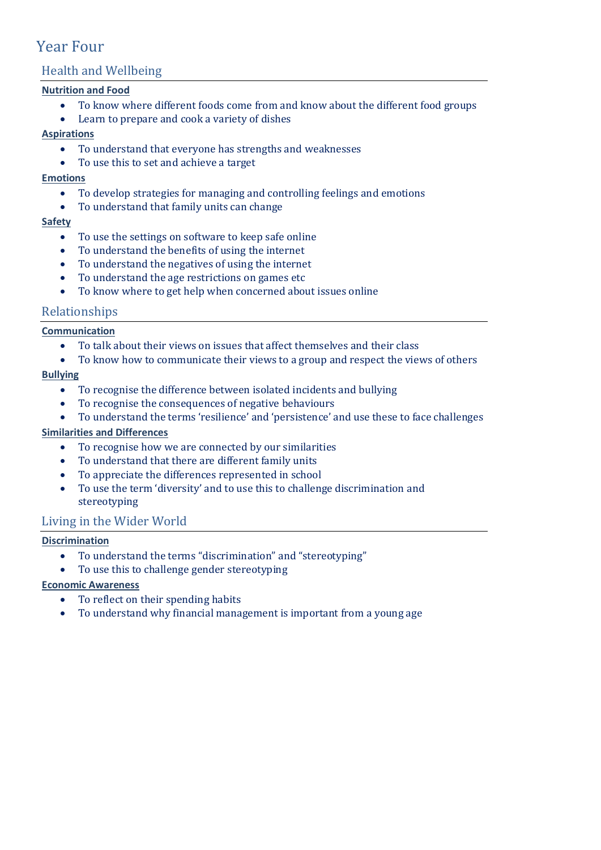# <span id="page-4-0"></span>Year Four

# <span id="page-4-1"></span>Health and Wellbeing

#### **Nutrition and Food**

- To know where different foods come from and know about the different food groups
- Learn to prepare and cook a variety of dishes

#### **Aspirations**

- To understand that everyone has strengths and weaknesses
- To use this to set and achieve a target

#### **Emotions**

- To develop strategies for managing and controlling feelings and emotions
- To understand that family units can change

#### **Safety**

- To use the settings on software to keep safe online
- To understand the benefits of using the internet
- To understand the negatives of using the internet
- To understand the age restrictions on games etc
- To know where to get help when concerned about issues online

## <span id="page-4-2"></span>Relationships

#### **Communication**

- To talk about their views on issues that affect themselves and their class
- To know how to communicate their views to a group and respect the views of others

#### **Bullying**

- To recognise the difference between isolated incidents and bullying
- To recognise the consequences of negative behaviours
- To understand the terms 'resilience' and 'persistence' and use these to face challenges

#### **Similarities and Differences**

- To recognise how we are connected by our similarities
- To understand that there are different family units
- To appreciate the differences represented in school
- To use the term 'diversity' and to use this to challenge discrimination and stereotyping

# <span id="page-4-3"></span>Living in the Wider World

#### **Discrimination**

- To understand the terms "discrimination" and "stereotyping"
- To use this to challenge gender stereotyping

#### **Economic Awareness**

- To reflect on their spending habits
- To understand why financial management is important from a young age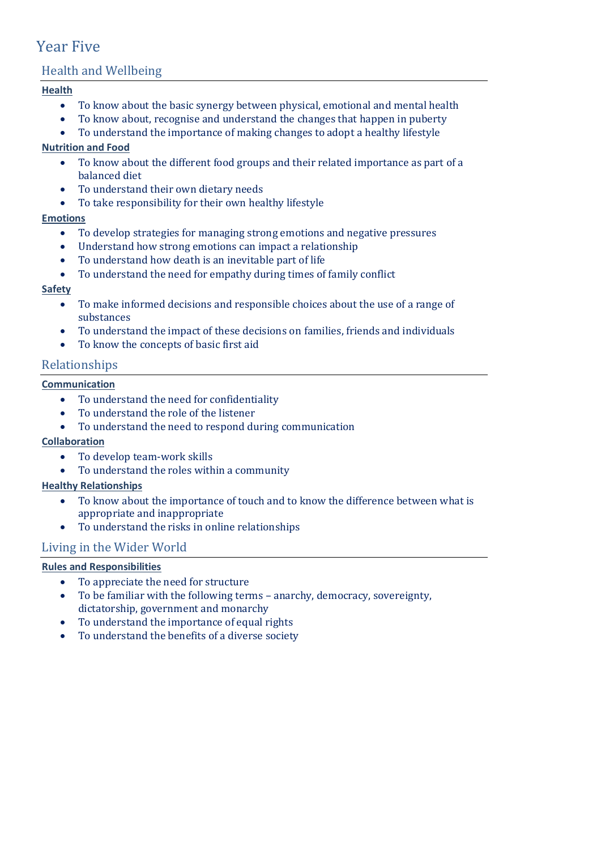# <span id="page-5-0"></span>Year Five

# <span id="page-5-1"></span>Health and Wellbeing

#### **Health**

- To know about the basic synergy between physical, emotional and mental health
- To know about, recognise and understand the changes that happen in puberty
- To understand the importance of making changes to adopt a healthy lifestyle

#### **Nutrition and Food**

- To know about the different food groups and their related importance as part of a balanced diet
- To understand their own dietary needs
- To take responsibility for their own healthy lifestyle

#### **Emotions**

- To develop strategies for managing strong emotions and negative pressures
- Understand how strong emotions can impact a relationship
- To understand how death is an inevitable part of life
- To understand the need for empathy during times of family conflict

#### **Safety**

- To make informed decisions and responsible choices about the use of a range of substances
- To understand the impact of these decisions on families, friends and individuals
- To know the concepts of basic first aid

# <span id="page-5-2"></span>Relationships

#### **Communication**

- To understand the need for confidentiality
- To understand the role of the listener
- To understand the need to respond during communication

#### **Collaboration**

- To develop team-work skills
- To understand the roles within a community

#### **Healthy Relationships**

- To know about the importance of touch and to know the difference between what is appropriate and inappropriate
- To understand the risks in online relationships

# <span id="page-5-3"></span>Living in the Wider World

#### **Rules and Responsibilities**

- To appreciate the need for structure
- To be familiar with the following terms anarchy, democracy, sovereignty, dictatorship, government and monarchy
- To understand the importance of equal rights
- To understand the benefits of a diverse society